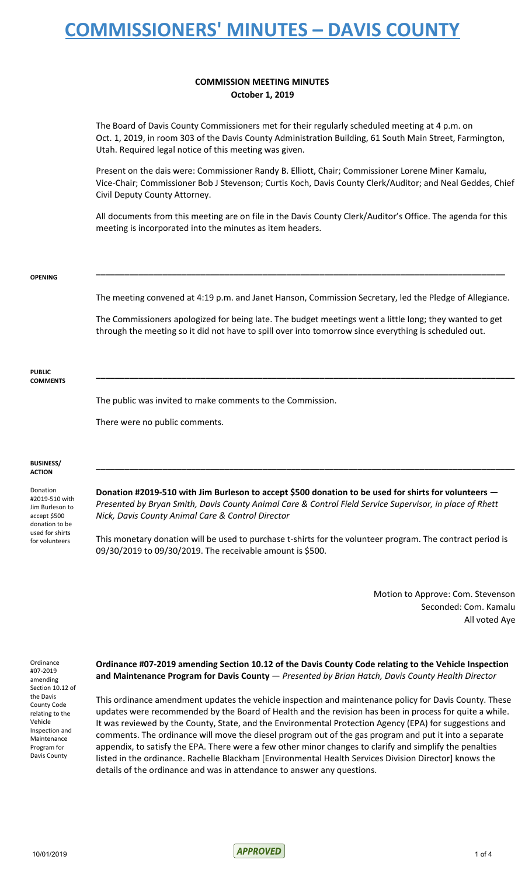### **COMMISSION MEETING MINUTES October 1, 2019**

The Board of Davis County Commissioners met for their regularly scheduled meeting at 4 p.m. on Oct. 1, 2019, in room 303 of the Davis County Administration Building, 61 South Main Street, Farmington, Utah. Required legal notice of this meeting was given.

Present on the dais were: Commissioner Randy B. Elliott, Chair; Commissioner Lorene Miner Kamalu, Vice-Chair; Commissioner Bob J Stevenson; Curtis Koch, Davis County Clerk/Auditor; and Neal Geddes, Chief Civil Deputy County Attorney.

All documents from this meeting are on file in the Davis County Clerk/Auditor's Office. The agenda for this meeting is incorporated into the minutes as item headers.

#### **OPENING**

The meeting convened at 4:19 p.m. and Janet Hanson, Commission Secretary, led the Pledge of Allegiance.

**\_\_\_\_\_\_\_\_\_\_\_\_\_\_\_\_\_\_\_\_\_\_\_\_\_\_\_\_\_\_\_\_\_\_\_\_\_\_\_\_\_\_\_\_\_\_\_\_\_\_\_\_\_\_\_\_\_\_\_\_\_\_\_\_\_\_\_\_\_\_\_\_\_\_\_\_\_\_\_\_\_\_\_\_\_\_**

The Commissioners apologized for being late. The budget meetings went a little long; they wanted to get through the meeting so it did not have to spill over into tomorrow since everything is scheduled out.

**\_\_\_\_\_\_\_\_\_\_\_\_\_\_\_\_\_\_\_\_\_\_\_\_\_\_\_\_\_\_\_\_\_\_\_\_\_\_\_\_\_\_\_\_\_\_\_\_\_\_\_\_\_\_\_\_\_\_\_\_\_\_\_\_\_\_\_\_\_\_\_\_\_\_\_\_\_\_\_\_\_\_\_\_\_\_\_\_**

**PUBLIC COMMENTS**

The public was invited to make comments to the Commission.

There were no public comments.

#### **BUSINESS/ ACTION**

Donation #2019-510 with Jim Burleson to accept \$500 donation to be used for shirts for volunteers

**Donation #2019-510 with Jim Burleson to accept \$500 donation to be used for shirts for volunteers** — *Presented by Bryan Smith, Davis County Animal Care & Control Field Service Supervisor, in place of Rhett Nick, Davis County Animal Care & Control Director*

**\_\_\_\_\_\_\_\_\_\_\_\_\_\_\_\_\_\_\_\_\_\_\_\_\_\_\_\_\_\_\_\_\_\_\_\_\_\_\_\_\_\_\_\_\_\_\_\_\_\_\_\_\_\_\_\_\_\_\_\_\_\_\_\_\_\_\_\_\_\_\_\_\_\_\_\_\_\_\_\_\_\_\_\_\_\_\_\_**

This monetary donation will be used to purchase t-shirts for the volunteer program. The contract period is 09/30/2019 to 09/30/2019. The receivable amount is \$500.

> Motion to Approve: Com. Stevenson Seconded: Com. Kamalu All voted Aye

Ordinance #07-2019 amending Section 10.12 of the Davis County Code relating to the Vehicle Inspection and Maintenance Program for Davis County

**Ordinance #07-2019 amending Section 10.12 of the Davis County Code relating to the Vehicle Inspection and Maintenance Program for Davis County** — *Presented by Brian Hatch, Davis County Health Director*

This ordinance amendment updates the vehicle inspection and maintenance policy for Davis County. These updates were recommended by the Board of Health and the revision has been in process for quite a while. It was reviewed by the County, State, and the Environmental Protection Agency (EPA) for suggestions and comments. The ordinance will move the diesel program out of the gas program and put it into a separate appendix, to satisfy the EPA. There were a few other minor changes to clarify and simplify the penalties listed in the ordinance. Rachelle Blackham [Environmental Health Services Division Director] knows the details of the ordinance and was in attendance to answer any questions.

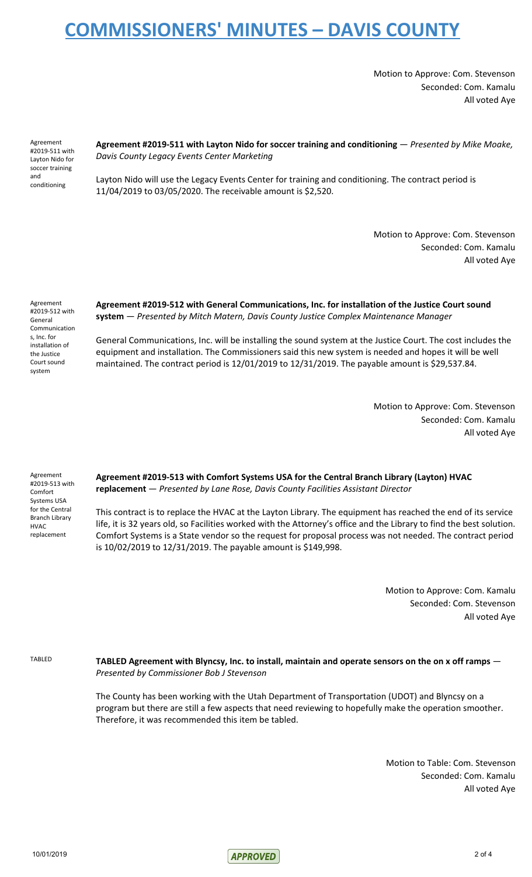Motion to Approve: Com. Stevenson Seconded: Com. Kamalu All voted Aye

Agreement #2019-511 with Layton Nido for soccer training and conditioning

**Agreement #2019-511 with Layton Nido for soccer training and conditioning** — *Presented by Mike Moake, Davis County Legacy Events Center Marketing*

Layton Nido will use the Legacy Events Center for training and conditioning. The contract period is 11/04/2019 to 03/05/2020. The receivable amount is \$2,520.

> Motion to Approve: Com. Stevenson Seconded: Com. Kamalu All voted Aye

Agreement #2019-512 with General Communication s, Inc. for installation of the Justice Court sound system

**Agreement #2019-512 with General Communications, Inc. for installation of the Justice Court sound system** — *Presented by Mitch Matern, Davis County Justice Complex Maintenance Manager*

General Communications, Inc. will be installing the sound system at the Justice Court. The cost includes the equipment and installation. The Commissioners said this new system is needed and hopes it will be well maintained. The contract period is 12/01/2019 to 12/31/2019. The payable amount is \$29,537.84.

> Motion to Approve: Com. Stevenson Seconded: Com. Kamalu All voted Aye

Agreement #2019-513 with Comfort Systems USA for the Central Branch Library HVAC replacement

**Agreement #2019-513 with Comfort Systems USA for the Central Branch Library (Layton) HVAC replacement** — *Presented by Lane Rose, Davis County Facilities Assistant Director*

This contract is to replace the HVAC at the Layton Library. The equipment has reached the end of its service life, it is 32 years old, so Facilities worked with the Attorney's office and the Library to find the best solution. Comfort Systems is a State vendor so the request for proposal process was not needed. The contract period is 10/02/2019 to 12/31/2019. The payable amount is \$149,998.

> Motion to Approve: Com. Kamalu Seconded: Com. Stevenson All voted Aye

TABLED Agreement with Blyncsy, Inc. to install, maintain and operate sensors on the on x off ramps  $-$ *Presented by Commissioner Bob J Stevenson*

> The County has been working with the Utah Department of Transportation (UDOT) and Blyncsy on a program but there are still a few aspects that need reviewing to hopefully make the operation smoother. Therefore, it was recommended this item be tabled.

> > Motion to Table: Com. Stevenson Seconded: Com. Kamalu All voted Aye

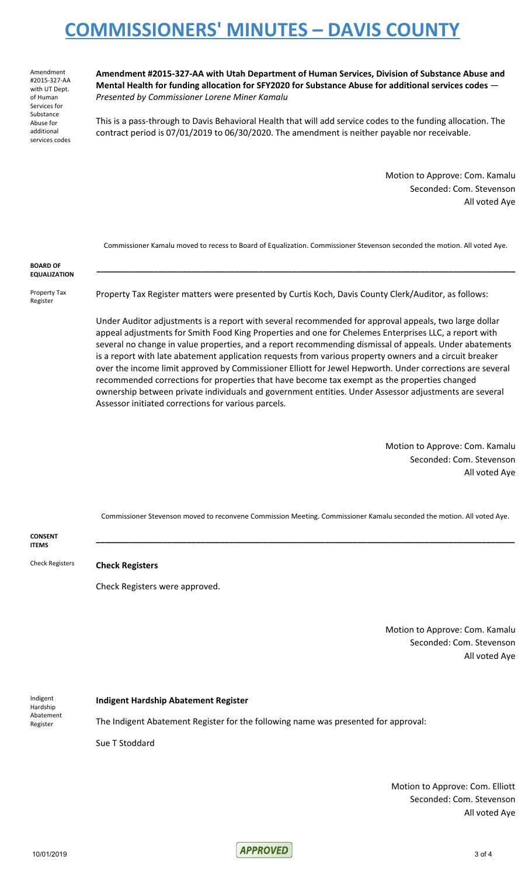Amendment #2015-327-AA with UT Dept. of Human Services for Substance Abuse for additional services codes **Amendment #2015-327-AA with Utah Department of Human Services, Division of Substance Abuse and Mental Health for funding allocation for SFY2020 for Substance Abuse for additional services codes** — *Presented by Commissioner Lorene Miner Kamalu*

This is a pass-through to Davis Behavioral Health that will add service codes to the funding allocation. The contract period is 07/01/2019 to 06/30/2020. The amendment is neither payable nor receivable.

> Motion to Approve: Com. Kamalu Seconded: Com. Stevenson All voted Aye

Commissioner Kamalu moved to recess to Board of Equalization. Commissioner Stevenson seconded the motion. All voted Aye.

**\_\_\_\_\_\_\_\_\_\_\_\_\_\_\_\_\_\_\_\_\_\_\_\_\_\_\_\_\_\_\_\_\_\_\_\_\_\_\_\_\_\_\_\_\_\_\_\_\_\_\_\_\_\_\_\_\_\_\_\_\_\_\_\_\_\_\_\_\_\_\_\_\_\_\_\_\_\_\_\_\_\_\_\_\_\_\_\_**

**BOARD OF EQUALIZATION**

Property Tax Register

Property Tax Register matters were presented by Curtis Koch, Davis County Clerk/Auditor, as follows:

Under Auditor adjustments is a report with several recommended for approval appeals, two large dollar appeal adjustments for Smith Food King Properties and one for Chelemes Enterprises LLC, a report with several no change in value properties, and a report recommending dismissal of appeals. Under abatements is a report with late abatement application requests from various property owners and a circuit breaker over the income limit approved by Commissioner Elliott for Jewel Hepworth. Under corrections are several recommended corrections for properties that have become tax exempt as the properties changed ownership between private individuals and government entities. Under Assessor adjustments are several Assessor initiated corrections for various parcels.

> Motion to Approve: Com. Kamalu Seconded: Com. Stevenson All voted Aye

Commissioner Stevenson moved to reconvene Commission Meeting. Commissioner Kamalu seconded the motion. All voted Aye.

**\_\_\_\_\_\_\_\_\_\_\_\_\_\_\_\_\_\_\_\_\_\_\_\_\_\_\_\_\_\_\_\_\_\_\_\_\_\_\_\_\_\_\_\_\_\_\_\_\_\_\_\_\_\_\_\_\_\_\_\_\_\_\_\_\_\_\_\_\_\_\_\_\_\_\_\_\_\_\_\_\_\_\_\_\_\_\_\_**

**CONSENT ITEMS**

Check Registers **Check Registers**

Check Registers were approved.

Motion to Approve: Com. Kamalu Seconded: Com. Stevenson All voted Aye

Indigent Hardship Abatement Register

#### **Indigent Hardship Abatement Register**

The Indigent Abatement Register for the following name was presented for approval:

Sue T Stoddard

Motion to Approve: Com. Elliott Seconded: Com. Stevenson All voted Aye